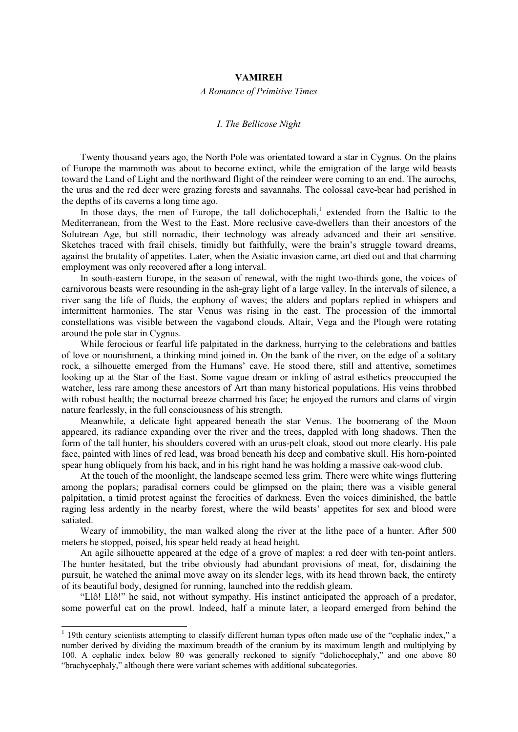## **VAMIREH**

## *A Romance of Primitive Times*

## *I. The Bellicose Night*

Twenty thousand years ago, the North Pole was orientated toward a star in Cygnus. On the plains of Europe the mammoth was about to become extinct, while the emigration of the large wild beasts toward the Land of Light and the northward flight of the reindeer were coming to an end. The aurochs, the urus and the red deer were grazing forests and savannahs. The colossal cave-bear had perished in the depths of its caverns a long time ago.

In those days, the men of Europe, the tall dolichocephali,<sup>1</sup> extended from the Baltic to the Mediterranean, from the West to the East. More reclusive cave-dwellers than their ancestors of the Solutrean Age, but still nomadic, their technology was already advanced and their art sensitive. Sketches traced with frail chisels, timidly but faithfully, were the brain's struggle toward dreams, against the brutality of appetites. Later, when the Asiatic invasion came, art died out and that charming employment was only recovered after a long interval.

In south-eastern Europe, in the season of renewal, with the night two-thirds gone, the voices of carnivorous beasts were resounding in the ash-gray light of a large valley. In the intervals of silence, a river sang the life of fluids, the euphony of waves; the alders and poplars replied in whispers and intermittent harmonies. The star Venus was rising in the east. The procession of the immortal constellations was visible between the vagabond clouds. Altair, Vega and the Plough were rotating around the pole star in Cygnus.

While ferocious or fearful life palpitated in the darkness, hurrying to the celebrations and battles of love or nourishment, a thinking mind joined in. On the bank of the river, on the edge of a solitary rock, a silhouette emerged from the Humans' cave. He stood there, still and attentive, sometimes looking up at the Star of the East. Some vague dream or inkling of astral esthetics preoccupied the watcher, less rare among these ancestors of Art than many historical populations. His veins throbbed with robust health; the nocturnal breeze charmed his face; he enjoyed the rumors and clams of virgin nature fearlessly, in the full consciousness of his strength.

Meanwhile, a delicate light appeared beneath the star Venus. The boomerang of the Moon appeared, its radiance expanding over the river and the trees, dappled with long shadows. Then the form of the tall hunter, his shoulders covered with an urus-pelt cloak, stood out more clearly. His pale face, painted with lines of red lead, was broad beneath his deep and combative skull. His horn-pointed spear hung obliquely from his back, and in his right hand he was holding a massive oak-wood club.

At the touch of the moonlight, the landscape seemed less grim. There were white wings fluttering among the poplars; paradisal corners could be glimpsed on the plain; there was a visible general palpitation, a timid protest against the ferocities of darkness. Even the voices diminished, the battle raging less ardently in the nearby forest, where the wild beasts' appetites for sex and blood were satiated.

Weary of immobility, the man walked along the river at the lithe pace of a hunter. After 500 meters he stopped, poised, his spear held ready at head height.

An agile silhouette appeared at the edge of a grove of maples: a red deer with ten-point antlers. The hunter hesitated, but the tribe obviously had abundant provisions of meat, for, disdaining the pursuit, he watched the animal move away on its slender legs, with its head thrown back, the entirety of its beautiful body, designed for running, launched into the reddish gleam.

"Llô! Llô!" he said, not without sympathy. His instinct anticipated the approach of a predator, some powerful cat on the prowl. Indeed, half a minute later, a leopard emerged from behind the

<sup>&</sup>lt;sup>1</sup> 19th century scientists attempting to classify different human types often made use of the "cephalic index," a number derived by dividing the maximum breadth of the cranium by its maximum length and multiplying by 100. A cephalic index below 80 was generally reckoned to signify "dolichocephaly," and one above 80 "brachycephaly," although there were variant schemes with additional subcategories.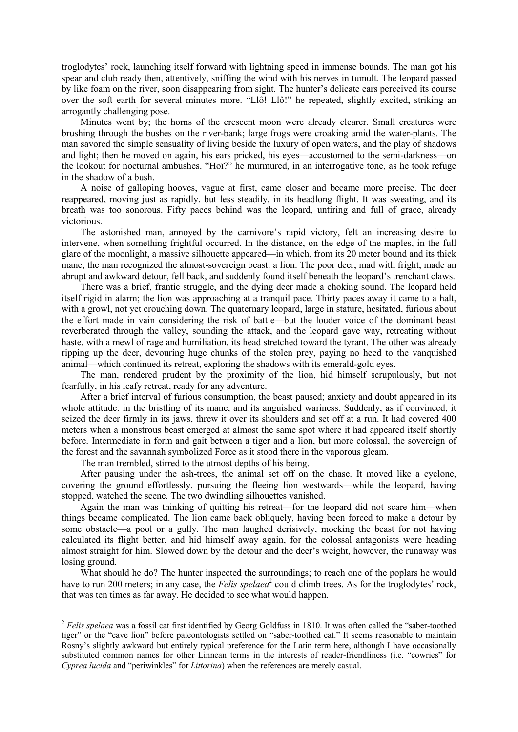troglodytes' rock, launching itself forward with lightning speed in immense bounds. The man got his spear and club ready then, attentively, sniffing the wind with his nerves in tumult. The leopard passed by like foam on the river, soon disappearing from sight. The hunter's delicate ears perceived its course over the soft earth for several minutes more. "Llô! Llô!" he repeated, slightly excited, striking an arrogantly challenging pose.

Minutes went by; the horns of the crescent moon were already clearer. Small creatures were brushing through the bushes on the river-bank; large frogs were croaking amid the water-plants. The man savored the simple sensuality of living beside the luxury of open waters, and the play of shadows and light; then he moved on again, his ears pricked, his eyes—accustomed to the semi-darkness—on the lookout for nocturnal ambushes. "Hoï?" he murmured, in an interrogative tone, as he took refuge in the shadow of a bush.

A noise of galloping hooves, vague at first, came closer and became more precise. The deer reappeared, moving just as rapidly, but less steadily, in its headlong flight. It was sweating, and its breath was too sonorous. Fifty paces behind was the leopard, untiring and full of grace, already victorious.

The astonished man, annoyed by the carnivore's rapid victory, felt an increasing desire to intervene, when something frightful occurred. In the distance, on the edge of the maples, in the full glare of the moonlight, a massive silhouette appeared—in which, from its 20 meter bound and its thick mane, the man recognized the almost-sovereign beast: a lion. The poor deer, mad with fright, made an abrupt and awkward detour, fell back, and suddenly found itself beneath the leopard's trenchant claws.

There was a brief, frantic struggle, and the dying deer made a choking sound. The leopard held itself rigid in alarm; the lion was approaching at a tranquil pace. Thirty paces away it came to a halt, with a growl, not yet crouching down. The quaternary leopard, large in stature, hesitated, furious about the effort made in vain considering the risk of battle—but the louder voice of the dominant beast reverberated through the valley, sounding the attack, and the leopard gave way, retreating without haste, with a mewl of rage and humiliation, its head stretched toward the tyrant. The other was already ripping up the deer, devouring huge chunks of the stolen prey, paying no heed to the vanquished animal—which continued its retreat, exploring the shadows with its emerald-gold eyes.

The man, rendered prudent by the proximity of the lion, hid himself scrupulously, but not fearfully, in his leafy retreat, ready for any adventure.

After a brief interval of furious consumption, the beast paused; anxiety and doubt appeared in its whole attitude: in the bristling of its mane, and its anguished wariness. Suddenly, as if convinced, it seized the deer firmly in its jaws, threw it over its shoulders and set off at a run. It had covered 400 meters when a monstrous beast emerged at almost the same spot where it had appeared itself shortly before. Intermediate in form and gait between a tiger and a lion, but more colossal, the sovereign of the forest and the savannah symbolized Force as it stood there in the vaporous gleam.

The man trembled, stirred to the utmost depths of his being.

After pausing under the ash-trees, the animal set off on the chase. It moved like a cyclone, covering the ground effortlessly, pursuing the fleeing lion westwards—while the leopard, having stopped, watched the scene. The two dwindling silhouettes vanished.

Again the man was thinking of quitting his retreat—for the leopard did not scare him—when things became complicated. The lion came back obliquely, having been forced to make a detour by some obstacle—a pool or a gully. The man laughed derisively, mocking the beast for not having calculated its flight better, and hid himself away again, for the colossal antagonists were heading almost straight for him. Slowed down by the detour and the deer's weight, however, the runaway was losing ground.

What should he do? The hunter inspected the surroundings; to reach one of the poplars he would have to run 200 meters; in any case, the *Felis spelaea*<sup>2</sup> could climb trees. As for the troglodytes' rock, that was ten times as far away. He decided to see what would happen.

<sup>&</sup>lt;sup>2</sup> *Felis spelaea* was a fossil cat first identified by Georg Goldfuss in 1810. It was often called the "saber-toothed" tiger" or the "cave lion" before paleontologists settled on "saber-toothed cat." It seems reasonable to maintain Rosny's slightly awkward but entirely typical preference for the Latin term here, although I have occasionally substituted common names for other Linnean terms in the interests of reader-friendliness (i.e. "cowries" for *Cyprea lucida* and "periwinkles" for *Littorina*) when the references are merely casual.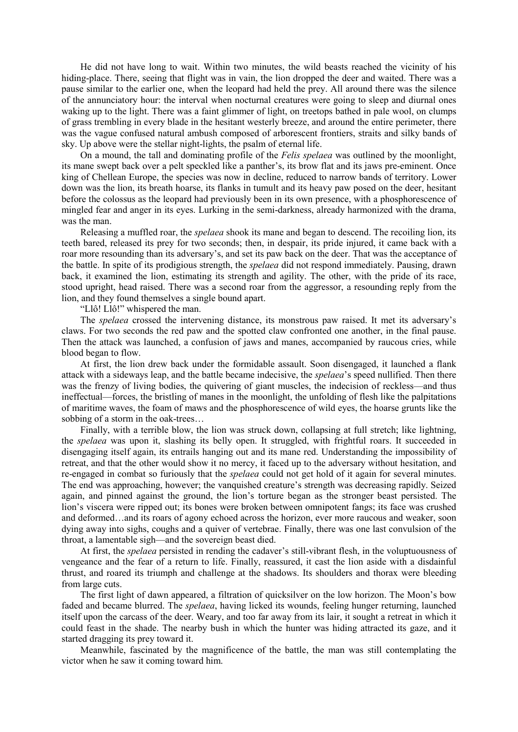He did not have long to wait. Within two minutes, the wild beasts reached the vicinity of his hiding-place. There, seeing that flight was in vain, the lion dropped the deer and waited. There was a pause similar to the earlier one, when the leopard had held the prey. All around there was the silence of the annunciatory hour: the interval when nocturnal creatures were going to sleep and diurnal ones waking up to the light. There was a faint glimmer of light, on treetops bathed in pale wool, on clumps of grass trembling in every blade in the hesitant westerly breeze, and around the entire perimeter, there was the vague confused natural ambush composed of arborescent frontiers, straits and silky bands of sky. Up above were the stellar night-lights, the psalm of eternal life.

On a mound, the tall and dominating profile of the *Felis spelaea* was outlined by the moonlight, its mane swept back over a pelt speckled like a panther's, its brow flat and its jaws pre-eminent. Once king of Chellean Europe, the species was now in decline, reduced to narrow bands of territory. Lower down was the lion, its breath hoarse, its flanks in tumult and its heavy paw posed on the deer, hesitant before the colossus as the leopard had previously been in its own presence, with a phosphorescence of mingled fear and anger in its eyes. Lurking in the semi-darkness, already harmonized with the drama, was the man.

Releasing a muffled roar, the *spelaea* shook its mane and began to descend. The recoiling lion, its teeth bared, released its prey for two seconds; then, in despair, its pride injured, it came back with a roar more resounding than its adversary's, and set its paw back on the deer. That was the acceptance of the battle. In spite of its prodigious strength, the *spelaea* did not respond immediately. Pausing, drawn back, it examined the lion, estimating its strength and agility. The other, with the pride of its race, stood upright, head raised. There was a second roar from the aggressor, a resounding reply from the lion, and they found themselves a single bound apart.

"Llô! Llô!" whispered the man.

The *spelaea* crossed the intervening distance, its monstrous paw raised. It met its adversary's claws. For two seconds the red paw and the spotted claw confronted one another, in the final pause. Then the attack was launched, a confusion of jaws and manes, accompanied by raucous cries, while blood began to flow.

At first, the lion drew back under the formidable assault. Soon disengaged, it launched a flank attack with a sideways leap, and the battle became indecisive, the *spelaea*'s speed nullified. Then there was the frenzy of living bodies, the quivering of giant muscles, the indecision of reckless—and thus ineffectual—forces, the bristling of manes in the moonlight, the unfolding of flesh like the palpitations of maritime waves, the foam of maws and the phosphorescence of wild eyes, the hoarse grunts like the sobbing of a storm in the oak-trees…

Finally, with a terrible blow, the lion was struck down, collapsing at full stretch; like lightning, the *spelaea* was upon it, slashing its belly open. It struggled, with frightful roars. It succeeded in disengaging itself again, its entrails hanging out and its mane red. Understanding the impossibility of retreat, and that the other would show it no mercy, it faced up to the adversary without hesitation, and re-engaged in combat so furiously that the *spelaea* could not get hold of it again for several minutes. The end was approaching, however; the vanquished creature's strength was decreasing rapidly. Seized again, and pinned against the ground, the lion's torture began as the stronger beast persisted. The lion's viscera were ripped out; its bones were broken between omnipotent fangs; its face was crushed and deformed…and its roars of agony echoed across the horizon, ever more raucous and weaker, soon dying away into sighs, coughs and a quiver of vertebrae. Finally, there was one last convulsion of the throat, a lamentable sigh—and the sovereign beast died.

At first, the *spelaea* persisted in rending the cadaver's still-vibrant flesh, in the voluptuousness of vengeance and the fear of a return to life. Finally, reassured, it cast the lion aside with a disdainful thrust, and roared its triumph and challenge at the shadows. Its shoulders and thorax were bleeding from large cuts.

The first light of dawn appeared, a filtration of quicksilver on the low horizon. The Moon's bow faded and became blurred. The *spelaea*, having licked its wounds, feeling hunger returning, launched itself upon the carcass of the deer. Weary, and too far away from its lair, it sought a retreat in which it could feast in the shade. The nearby bush in which the hunter was hiding attracted its gaze, and it started dragging its prey toward it.

Meanwhile, fascinated by the magnificence of the battle, the man was still contemplating the victor when he saw it coming toward him.